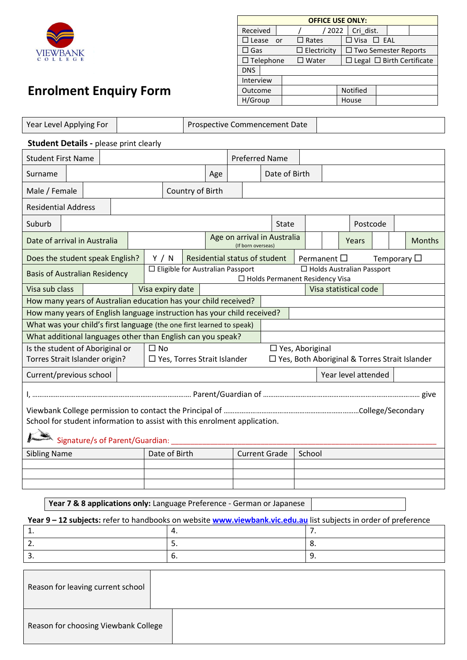

## **Enrolment Enquiry Form**

| <b>OFFICE USE ONLY:</b> |                    |                                       |  |  |  |  |  |  |  |  |
|-------------------------|--------------------|---------------------------------------|--|--|--|--|--|--|--|--|
| Received                | 2022               | Cri dist.                             |  |  |  |  |  |  |  |  |
| $\square$ Lease<br>or - | $\square$ Rates    | $\Box$ Visa $\Box$ EAL                |  |  |  |  |  |  |  |  |
| $\square$ Gas           | $\Box$ Electricity | $\Box$ Two Semester Reports           |  |  |  |  |  |  |  |  |
| $\Box$ Telephone        | $\square$ Water    | $\Box$ Legal $\Box$ Birth Certificate |  |  |  |  |  |  |  |  |
| <b>DNS</b>              |                    |                                       |  |  |  |  |  |  |  |  |
| Interview               |                    |                                       |  |  |  |  |  |  |  |  |
| Outcome                 |                    | <b>Notified</b>                       |  |  |  |  |  |  |  |  |
| H/Group                 |                    | House                                 |  |  |  |  |  |  |  |  |

| Year Level Applying For                                                                                                                       |                                           |                               |  |                                                     |               | Prospective Commencement Date |  |                     |                        |                                            |  |       |  |  |                                                 |
|-----------------------------------------------------------------------------------------------------------------------------------------------|-------------------------------------------|-------------------------------|--|-----------------------------------------------------|---------------|-------------------------------|--|---------------------|------------------------|--------------------------------------------|--|-------|--|--|-------------------------------------------------|
| <b>Student Details - please print clearly</b>                                                                                                 |                                           |                               |  |                                                     |               |                               |  |                     |                        |                                            |  |       |  |  |                                                 |
| <b>Student First Name</b>                                                                                                                     | <b>Preferred Name</b>                     |                               |  |                                                     |               |                               |  |                     |                        |                                            |  |       |  |  |                                                 |
| Surname                                                                                                                                       |                                           |                               |  | Age                                                 | Date of Birth |                               |  |                     |                        |                                            |  |       |  |  |                                                 |
| Male / Female                                                                                                                                 |                                           |                               |  | Country of Birth                                    |               |                               |  |                     |                        |                                            |  |       |  |  |                                                 |
| <b>Residential Address</b>                                                                                                                    |                                           |                               |  |                                                     |               |                               |  |                     |                        |                                            |  |       |  |  |                                                 |
| Suburb                                                                                                                                        | Postcode<br><b>State</b>                  |                               |  |                                                     |               |                               |  |                     |                        |                                            |  |       |  |  |                                                 |
| Date of arrival in Australia                                                                                                                  | Age on arrival in Australia               |                               |  |                                                     |               |                               |  |                     |                        |                                            |  | Years |  |  | <b>Months</b>                                   |
| Does the student speak English?                                                                                                               |                                           | Y / N                         |  | (If born overseas)<br>Residential status of student |               |                               |  |                     |                        | Permanent $\square$<br>Temporary $\square$ |  |       |  |  |                                                 |
| □ Eligible for Australian Passport<br>□ Holds Australian Passport<br><b>Basis of Australian Residency</b><br>□ Holds Permanent Residency Visa |                                           |                               |  |                                                     |               |                               |  |                     |                        |                                            |  |       |  |  |                                                 |
| Visa sub class                                                                                                                                | Visa expiry date<br>Visa statistical code |                               |  |                                                     |               |                               |  |                     |                        |                                            |  |       |  |  |                                                 |
| How many years of Australian education has your child received?                                                                               |                                           |                               |  |                                                     |               |                               |  |                     |                        |                                            |  |       |  |  |                                                 |
| How many years of English language instruction has your child received?                                                                       |                                           |                               |  |                                                     |               |                               |  |                     |                        |                                            |  |       |  |  |                                                 |
| What was your child's first language (the one first learned to speak)                                                                         |                                           |                               |  |                                                     |               |                               |  |                     |                        |                                            |  |       |  |  |                                                 |
| What additional languages other than English can you speak?                                                                                   |                                           |                               |  |                                                     |               |                               |  |                     |                        |                                            |  |       |  |  |                                                 |
| Is the student of Aboriginal or                                                                                                               |                                           | $\square$ No                  |  |                                                     |               |                               |  |                     | $\Box$ Yes, Aboriginal |                                            |  |       |  |  |                                                 |
| Torres Strait Islander origin?                                                                                                                |                                           | □ Yes, Torres Strait Islander |  |                                                     |               |                               |  |                     |                        |                                            |  |       |  |  | □ Yes, Both Aboriginal & Torres Strait Islander |
| Current/previous school                                                                                                                       |                                           |                               |  |                                                     |               |                               |  | Year level attended |                        |                                            |  |       |  |  |                                                 |
|                                                                                                                                               |                                           |                               |  |                                                     |               |                               |  |                     |                        |                                            |  |       |  |  |                                                 |
| School for student information to assist with this enrolment application.<br>Signature/s of Parent/Guardian: _____                            |                                           |                               |  |                                                     |               |                               |  |                     |                        |                                            |  |       |  |  |                                                 |
| Date of Birth<br><b>Current Grade</b><br><b>Sibling Name</b><br>School                                                                        |                                           |                               |  |                                                     |               |                               |  |                     |                        |                                            |  |       |  |  |                                                 |
|                                                                                                                                               |                                           |                               |  |                                                     |               |                               |  |                     |                        |                                            |  |       |  |  |                                                 |
|                                                                                                                                               |                                           |                               |  |                                                     |               |                               |  |                     |                        |                                            |  |       |  |  |                                                 |
|                                                                                                                                               |                                           |                               |  |                                                     |               |                               |  |                     |                        |                                            |  |       |  |  |                                                 |
| Year 7 & 8 applications only: Language Preference - German or Japanese                                                                        |                                           |                               |  |                                                     |               |                               |  |                     |                        |                                            |  |       |  |  |                                                 |

**Year 9 – 12 subjects:** refer to handbooks on website **[www.viewbank.vic.edu.au](http://www.viewbank.vic.edu.au/)** list subjects in order of preference 1.  $\vert 4. \vert 7. \vert$ 2.  $\begin{array}{|c|c|c|c|c|} \hline \end{array}$  5.  $\begin{array}{|c|c|c|c|c|} \hline \end{array}$  8.  $\begin{array}{ccc} \texttt{3.} & \texttt{9.} \end{array}$ 

| Reason for leaving current school    |  |
|--------------------------------------|--|
| Reason for choosing Viewbank College |  |